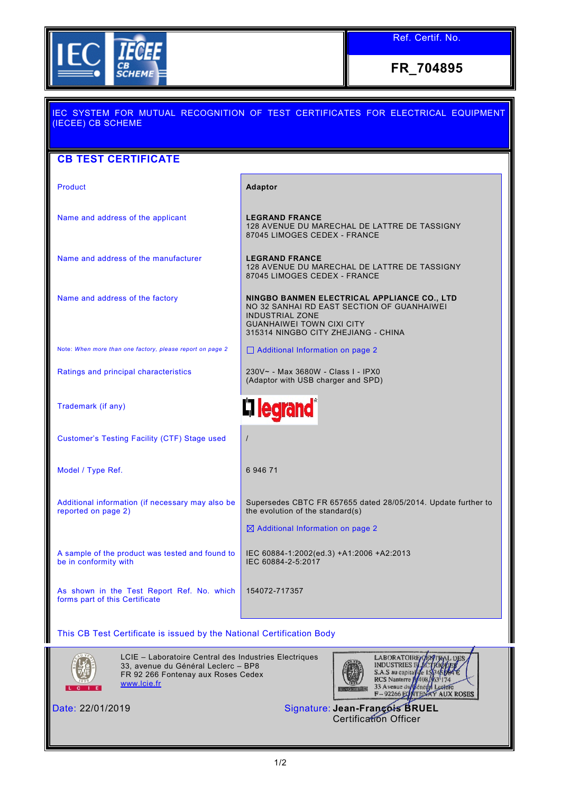

Ref. Certif. No.

**FR\_704895**

| <b>IEC SYSTEM FOR MUTUAL RECOGNITION OF TEST CERTIFICATES FOR ELECTRICAL EQUIPMENT</b><br>(IECEE) CB SCHEME |                                                                                                                                                                                                |  |  |
|-------------------------------------------------------------------------------------------------------------|------------------------------------------------------------------------------------------------------------------------------------------------------------------------------------------------|--|--|
| <b>CB TEST CERTIFICATE</b>                                                                                  |                                                                                                                                                                                                |  |  |
| Product                                                                                                     | Adaptor                                                                                                                                                                                        |  |  |
| Name and address of the applicant                                                                           | <b>LEGRAND FRANCE</b><br>128 AVENUE DU MARECHAL DE LATTRE DE TASSIGNY<br>87045 LIMOGES CEDEX - FRANCE                                                                                          |  |  |
| Name and address of the manufacturer                                                                        | <b>LEGRAND FRANCE</b><br>128 AVENUE DU MARECHAL DE LATTRE DE TASSIGNY<br>87045 LIMOGES CEDEX - FRANCE                                                                                          |  |  |
| Name and address of the factory                                                                             | NINGBO BANMEN ELECTRICAL APPLIANCE CO., LTD<br>NO 32 SANHAI RD EAST SECTION OF GUANHAIWEI<br><b>INDUSTRIAL ZONE</b><br><b>GUANHAIWEI TOWN CIXI CITY</b><br>315314 NINGBO CITY ZHEJIANG - CHINA |  |  |
| Note: When more than one factory, please report on page 2                                                   | □ Additional Information on page 2                                                                                                                                                             |  |  |
| Ratings and principal characteristics                                                                       | 230V~ - Max 3680W - Class I - IPX0<br>(Adaptor with USB charger and SPD)                                                                                                                       |  |  |
| Trademark (if any)                                                                                          | <b>Illegrand</b> ®                                                                                                                                                                             |  |  |
| <b>Customer's Testing Facility (CTF) Stage used</b>                                                         | $\prime$                                                                                                                                                                                       |  |  |
| Model / Type Ref.                                                                                           | 6 946 71                                                                                                                                                                                       |  |  |
| Additional information (if necessary may also be<br>reported on page 2)                                     | Supersedes CBTC FR 657655 dated 28/05/2014. Update further to<br>the evolution of the standard(s)                                                                                              |  |  |
|                                                                                                             | $\boxtimes$ Additional Information on page 2                                                                                                                                                   |  |  |
| A sample of the product was tested and found to<br>be in conformity with                                    | IEC 60884-1:2002(ed.3) +A1:2006 +A2:2013<br>IEC 60884-2-5:2017                                                                                                                                 |  |  |
| As shown in the Test Report Ref. No. which<br>forms part of this Certificate                                | 154072-717357                                                                                                                                                                                  |  |  |
| This CB Test Certificate is issued by the National Certification Body                                       |                                                                                                                                                                                                |  |  |



LCIE – Laboratoire Central des Industries Electriques 33, avenue du Général Leclerc – BP8 FR 92 266 Fontenay aux Roses Cedex [www.lcie.fr](http://www.lcie.fr/)



Date: 22/01/2019 Signature: **Jean-François BRUEL** Certification Officer